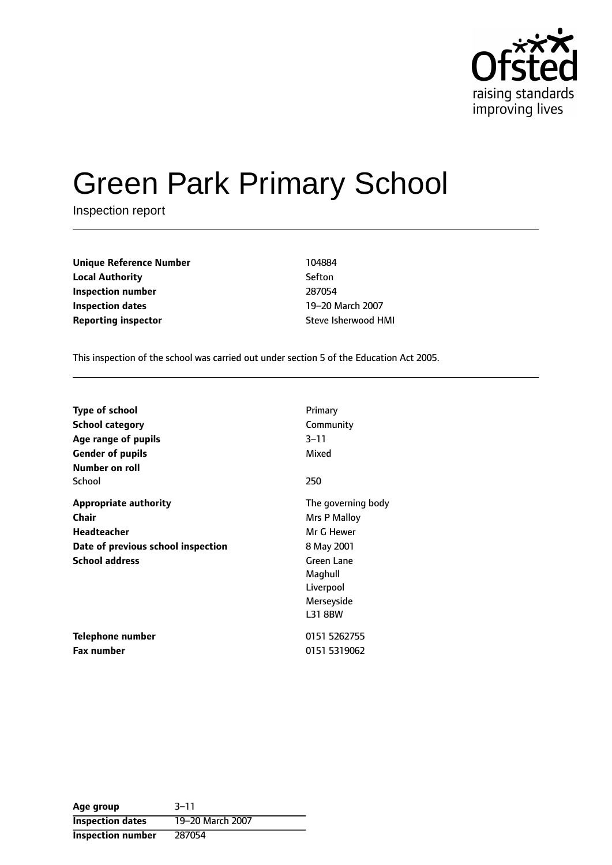

# Green Park Primary School

Inspection report

**Unique Reference Number** 104884 **Local Authority** Sefton **Inspection number** 287054 **Inspection dates** 19-20 March 2007 **Reporting inspector Steve Isherwood HMI** 

This inspection of the school was carried out under section 5 of the Education Act 2005.

| <b>Type of school</b>              | Primary            |
|------------------------------------|--------------------|
| <b>School category</b>             | Community          |
| Age range of pupils                | $3 - 11$           |
| <b>Gender of pupils</b>            | Mixed              |
| <b>Number on roll</b>              |                    |
| School                             | 250                |
| <b>Appropriate authority</b>       | The governing body |
| <b>Chair</b>                       | Mrs P Malloy       |
| Headteacher                        | Mr G Hewer         |
| Date of previous school inspection | 8 May 2001         |
| <b>School address</b>              | <b>Green Lane</b>  |
|                                    | Maghull            |
|                                    | Liverpool          |
|                                    | Merseyside         |
|                                    | <b>L31 8BW</b>     |
| Telephone number                   | 0151 5262755       |
| <b>Fax number</b>                  | 0151 5319062       |

| Age group               | $3 - 11$         |
|-------------------------|------------------|
| <b>Inspection dates</b> | 19-20 March 2007 |
| Inspection number       | 287054           |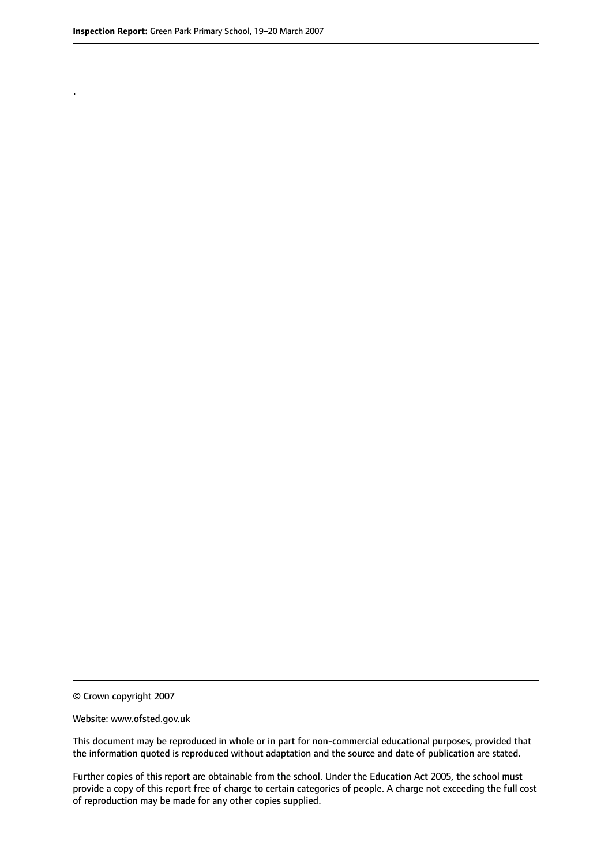.

© Crown copyright 2007

#### Website: www.ofsted.gov.uk

This document may be reproduced in whole or in part for non-commercial educational purposes, provided that the information quoted is reproduced without adaptation and the source and date of publication are stated.

Further copies of this report are obtainable from the school. Under the Education Act 2005, the school must provide a copy of this report free of charge to certain categories of people. A charge not exceeding the full cost of reproduction may be made for any other copies supplied.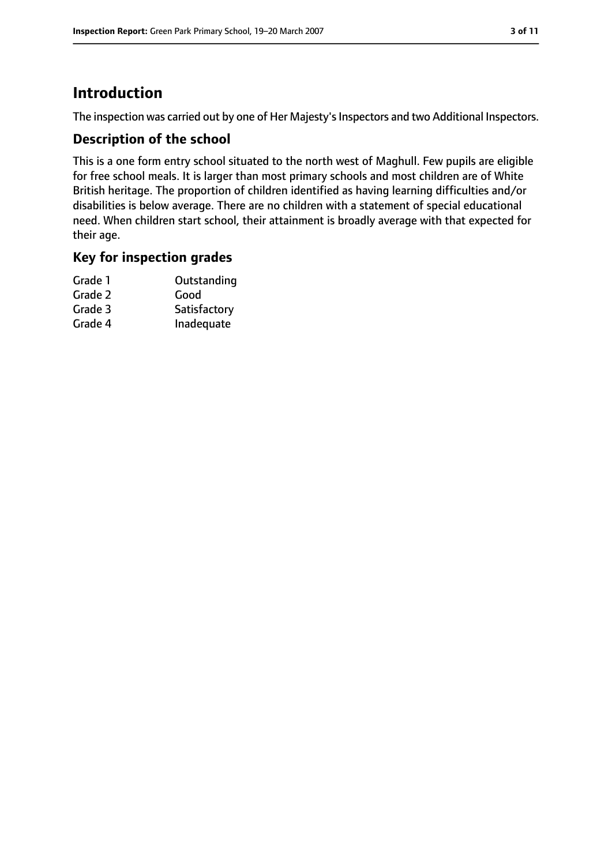# **Introduction**

The inspection was carried out by one of Her Majesty's Inspectors and two Additional Inspectors.

#### **Description of the school**

This is a one form entry school situated to the north west of Maghull. Few pupils are eligible for free school meals. It is larger than most primary schools and most children are of White British heritage. The proportion of children identified as having learning difficulties and/or disabilities is below average. There are no children with a statement of special educational need. When children start school, their attainment is broadly average with that expected for their age.

#### **Key for inspection grades**

| Grade 1 | Outstanding  |
|---------|--------------|
| Grade 2 | Good         |
| Grade 3 | Satisfactory |
| Grade 4 | Inadequate   |
|         |              |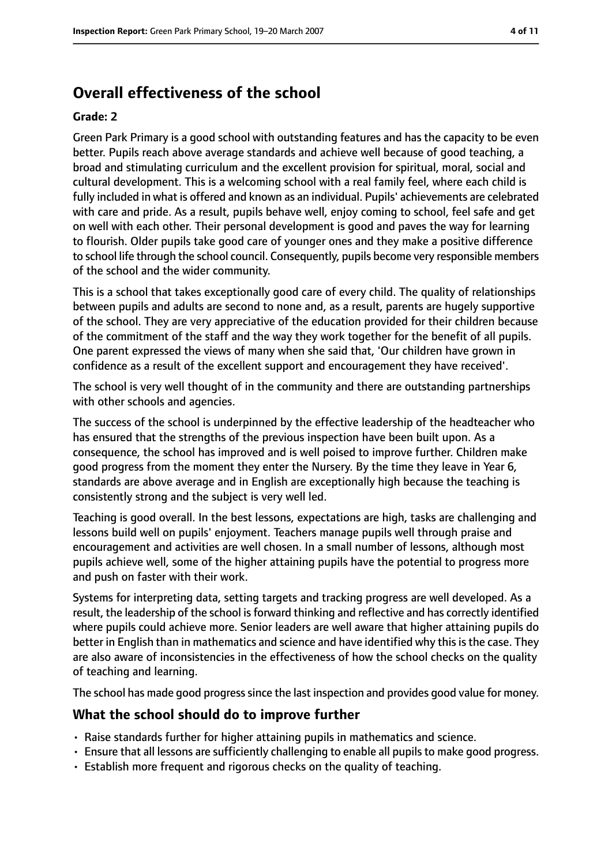# **Overall effectiveness of the school**

#### **Grade: 2**

Green Park Primary is a good school with outstanding features and has the capacity to be even better. Pupils reach above average standards and achieve well because of good teaching, a broad and stimulating curriculum and the excellent provision for spiritual, moral, social and cultural development. This is a welcoming school with a real family feel, where each child is fully included in what is offered and known as an individual. Pupils' achievements are celebrated with care and pride. As a result, pupils behave well, enjoy coming to school, feel safe and get on well with each other. Their personal development is good and paves the way for learning to flourish. Older pupils take good care of younger ones and they make a positive difference to school life through the school council. Consequently, pupils become very responsible members of the school and the wider community.

This is a school that takes exceptionally good care of every child. The quality of relationships between pupils and adults are second to none and, as a result, parents are hugely supportive of the school. They are very appreciative of the education provided for their children because of the commitment of the staff and the way they work together for the benefit of all pupils. One parent expressed the views of many when she said that, 'Our children have grown in confidence as a result of the excellent support and encouragement they have received'.

The school is very well thought of in the community and there are outstanding partnerships with other schools and agencies.

The success of the school is underpinned by the effective leadership of the headteacher who has ensured that the strengths of the previous inspection have been built upon. As a consequence, the school has improved and is well poised to improve further. Children make good progress from the moment they enter the Nursery. By the time they leave in Year 6, standards are above average and in English are exceptionally high because the teaching is consistently strong and the subject is very well led.

Teaching is good overall. In the best lessons, expectations are high, tasks are challenging and lessons build well on pupils' enjoyment. Teachers manage pupils well through praise and encouragement and activities are well chosen. In a small number of lessons, although most pupils achieve well, some of the higher attaining pupils have the potential to progress more and push on faster with their work.

Systems for interpreting data, setting targets and tracking progress are well developed. As a result, the leadership of the school is forward thinking and reflective and has correctly identified where pupils could achieve more. Senior leaders are well aware that higher attaining pupils do better in English than in mathematics and science and have identified why this is the case. They are also aware of inconsistencies in the effectiveness of how the school checks on the quality of teaching and learning.

The school has made good progress since the last inspection and provides good value for money.

## **What the school should do to improve further**

- Raise standards further for higher attaining pupils in mathematics and science.
- Ensure that all lessons are sufficiently challenging to enable all pupils to make good progress.
- Establish more frequent and rigorous checks on the quality of teaching.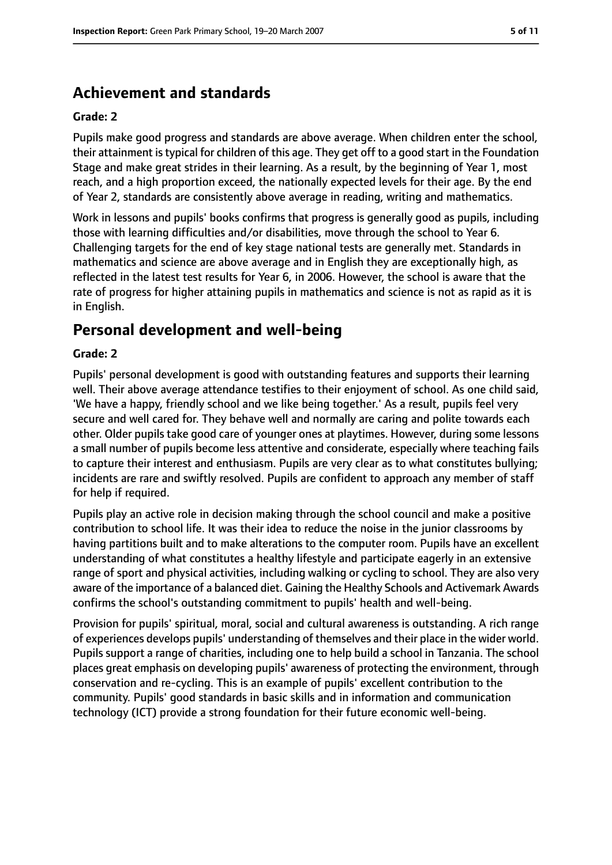# **Achievement and standards**

#### **Grade: 2**

Pupils make good progress and standards are above average. When children enter the school, their attainment istypical for children of this age. They get off to a good start in the Foundation Stage and make great strides in their learning. As a result, by the beginning of Year 1, most reach, and a high proportion exceed, the nationally expected levels for their age. By the end of Year 2, standards are consistently above average in reading, writing and mathematics.

Work in lessons and pupils' books confirms that progress is generally good as pupils, including those with learning difficulties and/or disabilities, move through the school to Year 6. Challenging targets for the end of key stage national tests are generally met. Standards in mathematics and science are above average and in English they are exceptionally high, as reflected in the latest test results for Year 6, in 2006. However, the school is aware that the rate of progress for higher attaining pupils in mathematics and science is not as rapid as it is in English.

# **Personal development and well-being**

#### **Grade: 2**

Pupils' personal development is good with outstanding features and supports their learning well. Their above average attendance testifies to their enjoyment of school. As one child said, 'We have a happy, friendly school and we like being together.' As a result, pupils feel very secure and well cared for. They behave well and normally are caring and polite towards each other. Older pupils take good care of younger ones at playtimes. However, during some lessons a small number of pupils become less attentive and considerate, especially where teaching fails to capture their interest and enthusiasm. Pupils are very clear as to what constitutes bullying; incidents are rare and swiftly resolved. Pupils are confident to approach any member of staff for help if required.

Pupils play an active role in decision making through the school council and make a positive contribution to school life. It was their idea to reduce the noise in the junior classrooms by having partitions built and to make alterations to the computer room. Pupils have an excellent understanding of what constitutes a healthy lifestyle and participate eagerly in an extensive range of sport and physical activities, including walking or cycling to school. They are also very aware of the importance of a balanced diet. Gaining the Healthy Schools and Activemark Awards confirms the school's outstanding commitment to pupils' health and well-being.

Provision for pupils' spiritual, moral, social and cultural awareness is outstanding. A rich range of experiences develops pupils' understanding of themselves and their place in the wider world. Pupils support a range of charities, including one to help build a school in Tanzania. The school places great emphasis on developing pupils' awareness of protecting the environment, through conservation and re-cycling. This is an example of pupils' excellent contribution to the community. Pupils' good standards in basic skills and in information and communication technology (ICT) provide a strong foundation for their future economic well-being.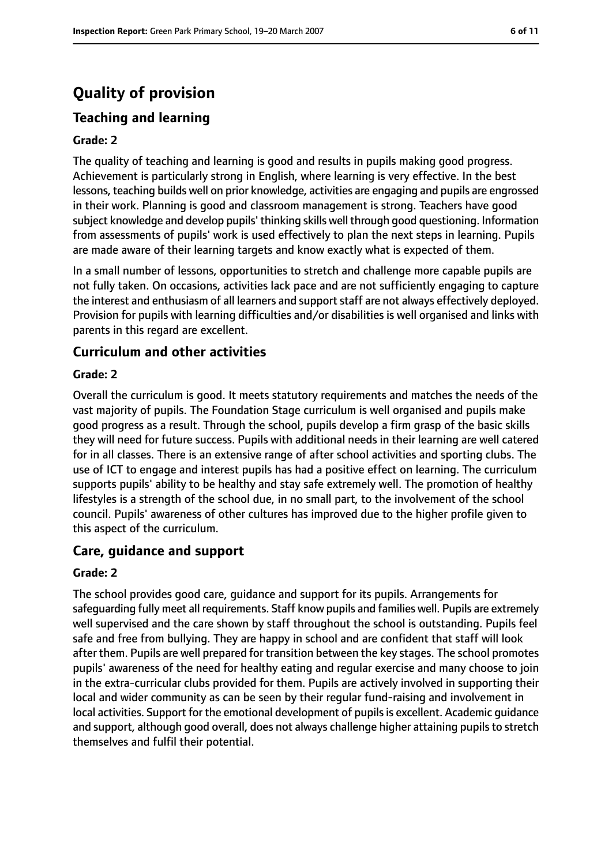# **Quality of provision**

## **Teaching and learning**

#### **Grade: 2**

The quality of teaching and learning is good and results in pupils making good progress. Achievement is particularly strong in English, where learning is very effective. In the best lessons, teaching builds well on prior knowledge, activities are engaging and pupils are engrossed in their work. Planning is good and classroom management is strong. Teachers have good subject knowledge and develop pupils' thinking skills well through good questioning. Information from assessments of pupils' work is used effectively to plan the next steps in learning. Pupils are made aware of their learning targets and know exactly what is expected of them.

In a small number of lessons, opportunities to stretch and challenge more capable pupils are not fully taken. On occasions, activities lack pace and are not sufficiently engaging to capture the interest and enthusiasm of all learners and support staff are not always effectively deployed. Provision for pupils with learning difficulties and/or disabilities is well organised and links with parents in this regard are excellent.

## **Curriculum and other activities**

#### **Grade: 2**

Overall the curriculum is good. It meets statutory requirements and matches the needs of the vast majority of pupils. The Foundation Stage curriculum is well organised and pupils make good progress as a result. Through the school, pupils develop a firm grasp of the basic skills they will need for future success. Pupils with additional needs in their learning are well catered for in all classes. There is an extensive range of after school activities and sporting clubs. The use of ICT to engage and interest pupils has had a positive effect on learning. The curriculum supports pupils' ability to be healthy and stay safe extremely well. The promotion of healthy lifestyles is a strength of the school due, in no small part, to the involvement of the school council. Pupils' awareness of other cultures has improved due to the higher profile given to this aspect of the curriculum.

## **Care, guidance and support**

#### **Grade: 2**

The school provides good care, guidance and support for its pupils. Arrangements for safeguarding fully meet all requirements. Staff know pupils and families well. Pupils are extremely well supervised and the care shown by staff throughout the school is outstanding. Pupils feel safe and free from bullying. They are happy in school and are confident that staff will look after them. Pupils are well prepared for transition between the key stages. The school promotes pupils' awareness of the need for healthy eating and regular exercise and many choose to join in the extra-curricular clubs provided for them. Pupils are actively involved in supporting their local and wider community as can be seen by their regular fund-raising and involvement in local activities. Support for the emotional development of pupils is excellent. Academic quidance and support, although good overall, does not always challenge higher attaining pupils to stretch themselves and fulfil their potential.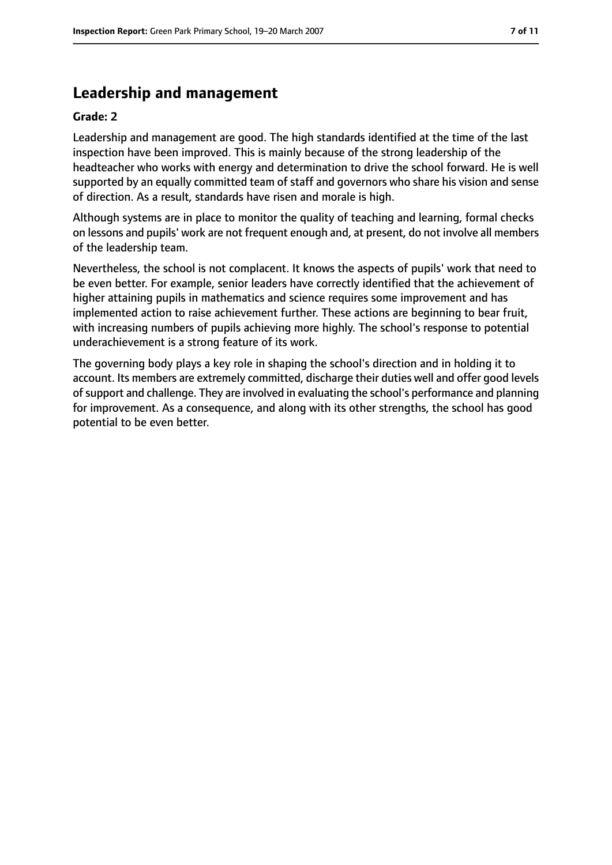# **Leadership and management**

#### **Grade: 2**

Leadership and management are good. The high standards identified at the time of the last inspection have been improved. This is mainly because of the strong leadership of the headteacher who works with energy and determination to drive the school forward. He is well supported by an equally committed team of staff and governors who share his vision and sense of direction. As a result, standards have risen and morale is high.

Although systems are in place to monitor the quality of teaching and learning, formal checks on lessons and pupils' work are not frequent enough and, at present, do not involve all members of the leadership team.

Nevertheless, the school is not complacent. It knows the aspects of pupils' work that need to be even better. For example, senior leaders have correctly identified that the achievement of higher attaining pupils in mathematics and science requires some improvement and has implemented action to raise achievement further. These actions are beginning to bear fruit, with increasing numbers of pupils achieving more highly. The school's response to potential underachievement is a strong feature of its work.

The governing body plays a key role in shaping the school's direction and in holding it to account. Its members are extremely committed, discharge their duties well and offer good levels of support and challenge. They are involved in evaluating the school's performance and planning for improvement. As a consequence, and along with its other strengths, the school has good potential to be even better.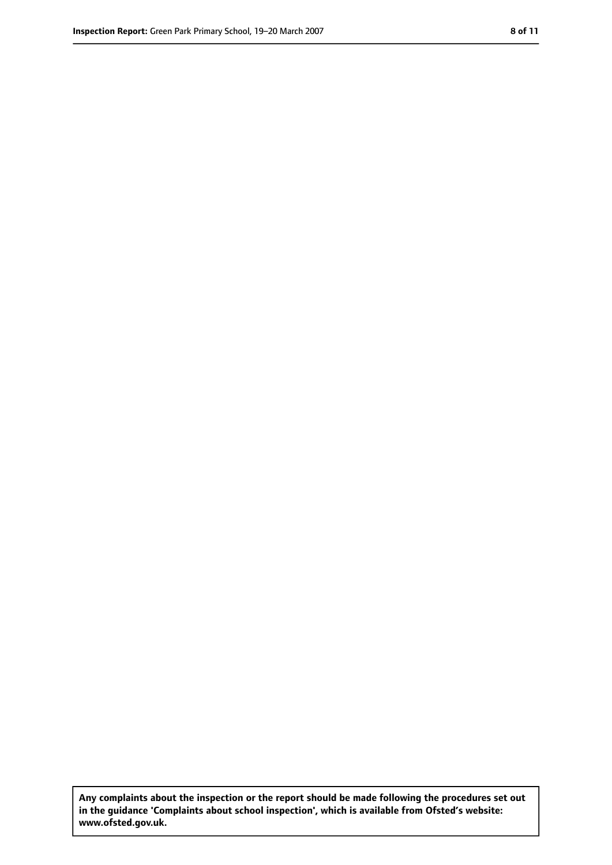**Any complaints about the inspection or the report should be made following the procedures set out in the guidance 'Complaints about school inspection', which is available from Ofsted's website: www.ofsted.gov.uk.**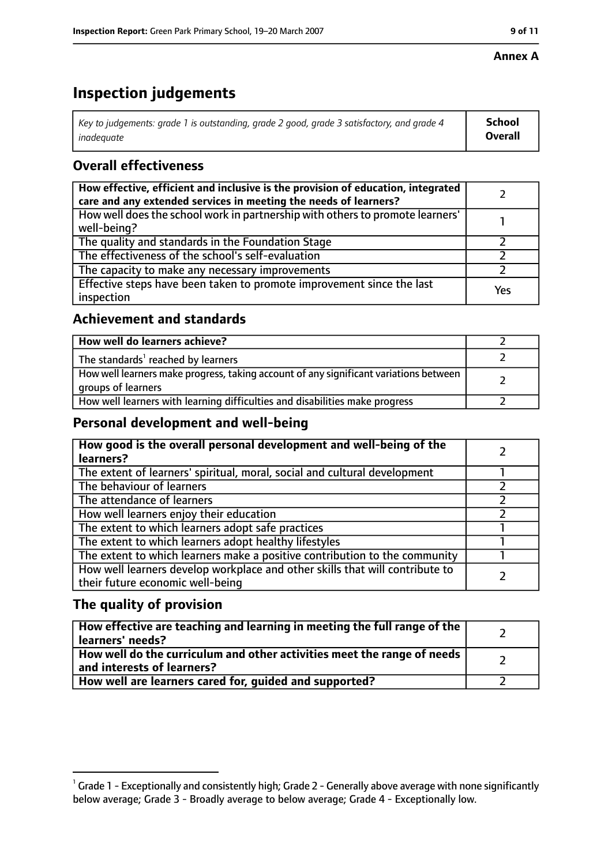#### **Annex A**

# **Inspection judgements**

| Key to judgements: grade 1 is outstanding, grade 2 good, grade 3 satisfactory, and grade 4 | School         |
|--------------------------------------------------------------------------------------------|----------------|
| inadeguate                                                                                 | <b>Overall</b> |

## **Overall effectiveness**

| How effective, efficient and inclusive is the provision of education, integrated<br>care and any extended services in meeting the needs of learners? |     |
|------------------------------------------------------------------------------------------------------------------------------------------------------|-----|
| How well does the school work in partnership with others to promote learners'<br>well-being?                                                         |     |
| The quality and standards in the Foundation Stage                                                                                                    |     |
| The effectiveness of the school's self-evaluation                                                                                                    |     |
| The capacity to make any necessary improvements                                                                                                      |     |
| Effective steps have been taken to promote improvement since the last<br>inspection                                                                  | Yes |

## **Achievement and standards**

| How well do learners achieve?                                                                               |  |
|-------------------------------------------------------------------------------------------------------------|--|
| The standards <sup>1</sup> reached by learners                                                              |  |
| How well learners make progress, taking account of any significant variations between<br>groups of learners |  |
| How well learners with learning difficulties and disabilities make progress                                 |  |

## **Personal development and well-being**

| How good is the overall personal development and well-being of the<br>learners?                                  |  |
|------------------------------------------------------------------------------------------------------------------|--|
| The extent of learners' spiritual, moral, social and cultural development                                        |  |
| The behaviour of learners                                                                                        |  |
| The attendance of learners                                                                                       |  |
| How well learners enjoy their education                                                                          |  |
| The extent to which learners adopt safe practices                                                                |  |
| The extent to which learners adopt healthy lifestyles                                                            |  |
| The extent to which learners make a positive contribution to the community                                       |  |
| How well learners develop workplace and other skills that will contribute to<br>their future economic well-being |  |

## **The quality of provision**

| How effective are teaching and learning in meeting the full range of the<br>learners' needs?          |  |
|-------------------------------------------------------------------------------------------------------|--|
| How well do the curriculum and other activities meet the range of needs<br>and interests of learners? |  |
| How well are learners cared for, quided and supported?                                                |  |

 $^1$  Grade 1 - Exceptionally and consistently high; Grade 2 - Generally above average with none significantly below average; Grade 3 - Broadly average to below average; Grade 4 - Exceptionally low.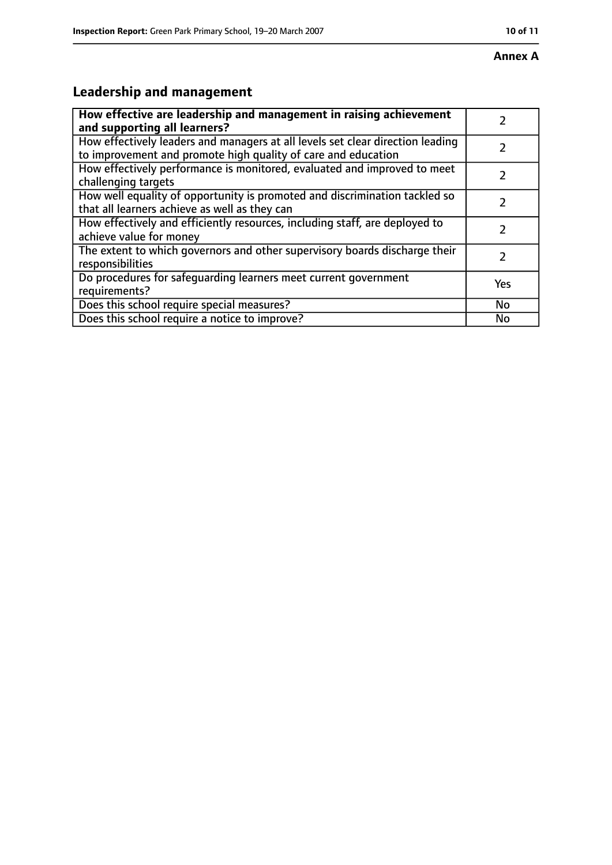# **Leadership and management**

| How effective are leadership and management in raising achievement<br>and supporting all learners?                                              |           |
|-------------------------------------------------------------------------------------------------------------------------------------------------|-----------|
| How effectively leaders and managers at all levels set clear direction leading<br>to improvement and promote high quality of care and education |           |
| How effectively performance is monitored, evaluated and improved to meet<br>challenging targets                                                 |           |
| How well equality of opportunity is promoted and discrimination tackled so<br>that all learners achieve as well as they can                     |           |
| How effectively and efficiently resources, including staff, are deployed to<br>achieve value for money                                          |           |
| The extent to which governors and other supervisory boards discharge their<br>responsibilities                                                  | 7         |
| Do procedures for safequarding learners meet current government<br>requirements?                                                                | Yes       |
| Does this school require special measures?                                                                                                      | <b>No</b> |
| Does this school require a notice to improve?                                                                                                   | No        |